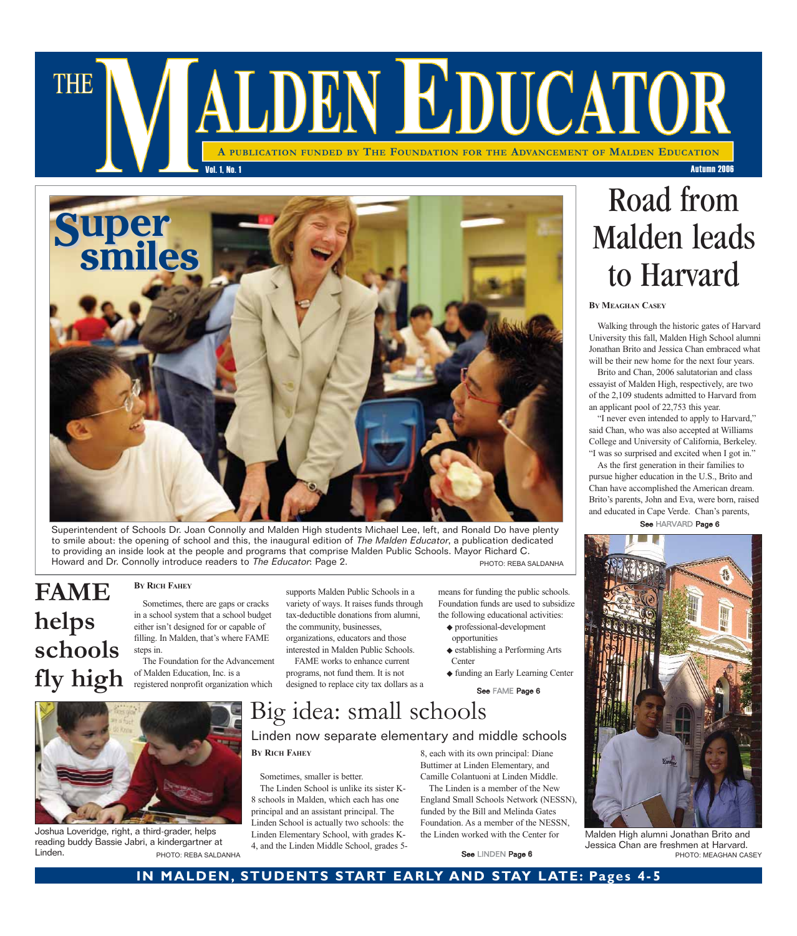## ALDEN EDUCATOR **THE A PUBLICATION FUNDED BY THE FOUNDATION FOR THE ADVANCEMENT OF MALDEN EDUCATION** Vol. 1, No. 1 Autumn 2006



Superintendent of Schools Dr. Joan Connolly and Malden High students Michael Lee, left, and Ronald Do have plenty to smile about: the opening of school and this, the inaugural edition of The Malden Educator, a publication dedicated to providing an inside look at the people and programs that comprise Malden Public Schools. Mayor Richard C. Howard and Dr. Connolly introduce readers to The Educator: Page 2. PHOTO: REBA SALDANHA

## **FAME helps schools fly high**

#### **BY RICH FAHEY**

Sometimes, there are gaps or cracks in a school system that a school budget either isn't designed for or capable of filling. In Malden, that's where FAME steps in.

The Foundation for the Advancement of Malden Education, Inc. is a registered nonprofit organization which

supports Malden Public Schools in a variety of ways. It raises funds through tax-deductible donations from alumni, the community, businesses, organizations, educators and those

interested in Malden Public Schools. FAME works to enhance current

programs, not fund them. It is not designed to replace city tax dollars as a

means for funding the public schools. Foundation funds are used to subsidize the following educational activities:

- ◆ professional-development opportunities
- ◆ establishing a Performing Arts Center
- ◆ funding an Early Learning Center

See FAME Page 6

# Big idea: small schools

### Linden now separate elementary and middle schools

**BY RICH FAHEY**

Sometimes, smaller is better. The Linden School is unlike its sister K-8 schools in Malden, which each has one principal and an assistant principal. The Linden School is actually two schools: the Linden Elementary School, with grades K-4, and the Linden Middle School, grades 58, each with its own principal: Diane Buttimer at Linden Elementary, and Camille Colantuoni at Linden Middle.

The Linden is a member of the New England Small Schools Network (NESSN), funded by the Bill and Melinda Gates Foundation. As a member of the NESSN, the Linden worked with the Center for

# Road from Malden leads to Harvard

#### **BY MEAGHAN CASEY**

Walking through the historic gates of Harvard University this fall, Malden High School alumni Jonathan Brito and Jessica Chan embraced what will be their new home for the next four years.

Brito and Chan, 2006 salutatorian and class essayist of Malden High, respectively, are two of the 2,109 students admitted to Harvard from an applicant pool of 22,753 this year.

"I never even intended to apply to Harvard," said Chan, who was also accepted at Williams College and University of California, Berkeley. "I was so surprised and excited when I got in."

As the first generation in their families to pursue higher education in the U.S., Brito and Chan have accomplished the American dream. Brito's parents, John and Eva, were born, raised and educated in Cape Verde. Chan's parents,

See HARVARD Page 6



Malden High alumni Jonathan Brito and Jessica Chan are freshmen at Harvard. PHOTO: MEAGHAN CASEY



Joshua Loveridge, right, a third-grader, helps reading buddy Bassie Jabri, a kindergartner at Linden. See LINDEN Page 6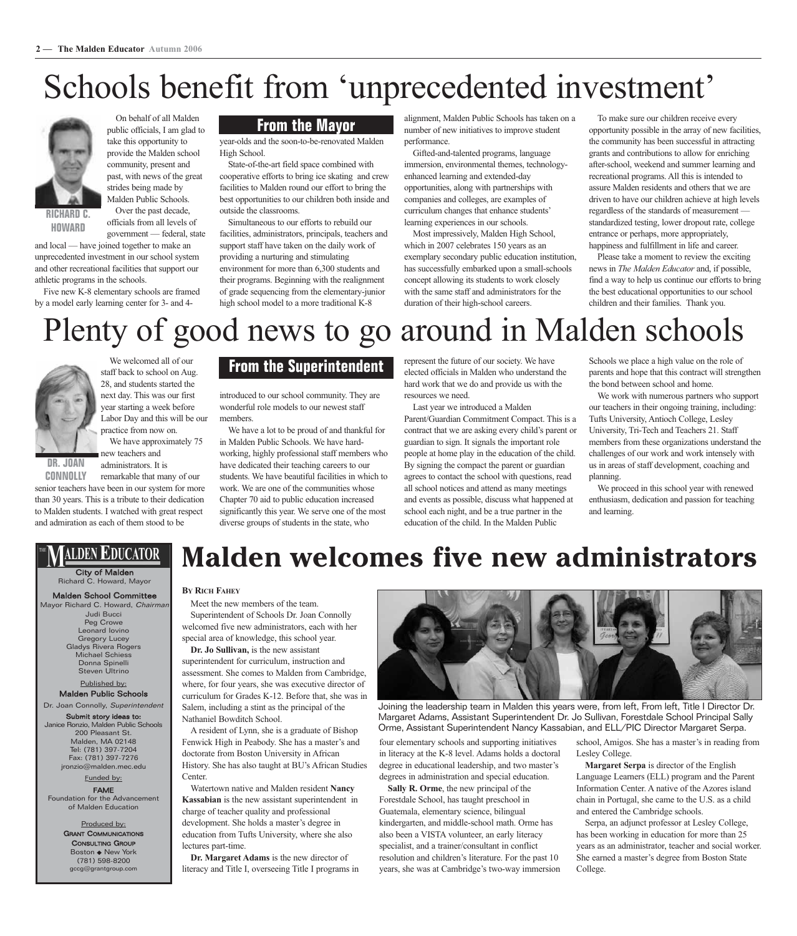On behalf of all Malden public officials, I am glad to take this opportunity to provide the Malden school community, present and past, with news of the great strides being made by Malden Public Schools. Over the past decade, officials from all levels of

# Schools benefit from 'unprecedented investment'



**RICHARD C. HOWARD**

government — federal, state and local — have joined together to make an unprecedented investment in our school system and other recreational facilities that support our

athletic programs in the schools. Five new K-8 elementary schools are framed by a model early learning center for 3- and 4-

#### **From the Mayor**

year-olds and the soon-to-be-renovated Malden High School.

State-of-the-art field space combined with cooperative efforts to bring ice skating and crew facilities to Malden round our effort to bring the best opportunities to our children both inside and outside the classrooms.

Simultaneous to our efforts to rebuild our facilities, administrators, principals, teachers and support staff have taken on the daily work of providing a nurturing and stimulating environment for more than 6,300 students and their programs. Beginning with the realignment of grade sequencing from the elementary-junior high school model to a more traditional K-8

alignment, Malden Public Schools has taken on a number of new initiatives to improve student performance.

Gifted-and-talented programs, language immersion, environmental themes, technologyenhanced learning and extended-day opportunities, along with partnerships with companies and colleges, are examples of curriculum changes that enhance students' learning experiences in our schools.

Most impressively, Malden High School, which in 2007 celebrates 150 years as an exemplary secondary public education institution, has successfully embarked upon a small-schools concept allowing its students to work closely with the same staff and administrators for the duration of their high-school careers.

To make sure our children receive every opportunity possible in the array of new facilities, the community has been successful in attracting grants and contributions to allow for enriching after-school, weekend and summer learning and recreational programs. All this is intended to assure Malden residents and others that we are driven to have our children achieve at high levels regardless of the standards of measurement standardized testing, lower dropout rate, college entrance or perhaps, more appropriately, happiness and fulfillment in life and career.

Please take a moment to review the exciting news in *The Malden Educator* and, if possible, find a way to help us continue our efforts to bring the best educational opportunities to our school children and their families. Thank you.

# Plenty of good news to go around in Malden schools



We welcomed all of our staff back to school on Aug. 28, and students started the next day. This was our first year starting a week before Labor Day and this will be our practice from now on.

We have approximately 75 new teachers and administrators. It is

**DR. JOAN CONNOLLY**

remarkable that many of our senior teachers have been in our system for more than 30 years. This is a tribute to their dedication to Malden students. I watched with great respect and admiration as each of them stood to be

### **From the Superintendent**

introduced to our school community. They are wonderful role models to our newest staff members.

We have a lot to be proud of and thankful for in Malden Public Schools. We have hardworking, highly professional staff members who have dedicated their teaching careers to our students. We have beautiful facilities in which to work. We are one of the communities whose Chapter 70 aid to public education increased significantly this year. We serve one of the most diverse groups of students in the state, who

represent the future of our society. We have elected officials in Malden who understand the hard work that we do and provide us with the resources we need.

Last year we introduced a Malden Parent/Guardian Commitment Compact. This is a contract that we are asking every child's parent or guardian to sign. It signals the important role people at home play in the education of the child. By signing the compact the parent or guardian agrees to contact the school with questions, read all school notices and attend as many meetings and events as possible, discuss what happened at

school each night, and be a true partner in the education of the child. In the Malden Public

**Malden welcomes five new administrators**

Schools we place a high value on the role of parents and hope that this contract will strengthen the bond between school and home.

We work with numerous partners who support our teachers in their ongoing training, including: Tufts University, Antioch College, Lesley University, Tri-Tech and Teachers 21. Staff members from these organizations understand the challenges of our work and work intensely with us in areas of staff development, coaching and planning.

We proceed in this school year with renewed enthusiasm, dedication and passion for teaching and learning.

### ALDEN E'DUCATOR

#### City of Malden Richard C. Howard, Mayor

Judi Bucci Peg Crowe Leonard Iovino Gregory Lucey Gladys Rivera Rogers Michael Schiess Donna Spinelli Steven Ultrino Malden School Committee Mayor Richard C. Howard, Chairma

Published by: Malden Public Schools

Dr. Joan Connolly, Superintendent Submit story ideas to: Janice Ronzio, Malden Public Schools 200 Pleasant St. Malden, MA 02148 Tel: (781) 397-7204 Fax: (781) 397-7276 jronzio@malden.mec.edu

#### Funded by: FAME

Foundation for the Advancement of Malden Education

> Produced by: GRANT COMMUNICATIONS **CONSULTING GROUP** Boston ◆ New York (781) 598-8200 gccg@grantgroup.com

#### **BY RICH FAHEY**

Meet the new members of the team. Superintendent of Schools Dr. Joan Connolly welcomed five new administrators, each with her special area of knowledge, this school year.

**Dr. Jo Sullivan,** is the new assistant curriculum for Grades K-12. Before that, she was in

A resident of Lynn, she is a graduate of Bishop Fenwick High in Peabody. She has a master's and doctorate from Boston University in African History. She has also taught at BU's African Studies Center.

**Kassabian** is the new assistant superintendent in charge of teacher quality and professional development. She holds a master's degree in education from Tufts University, where she also lectures part-time.

literacy and Title I, overseeing Title I programs in



Joining the leadership team in Malden this years were, from left, From left, Title I Director Dr. Margaret Adams, Assistant Superintendent Dr. Jo Sullivan, Forestdale School Principal Sally Orme, Assistant Superintendent Nancy Kassabian, and ELL/PIC Director Margaret Serpa.

four elementary schools and supporting initiatives in literacy at the K-8 level. Adams holds a doctoral degree in educational leadership, and two master's degrees in administration and special education.

**Sally R. Orme**, the new principal of the Forestdale School, has taught preschool in Guatemala, elementary science, bilingual kindergarten, and middle-school math. Orme has also been a VISTA volunteer, an early literacy specialist, and a trainer/consultant in conflict resolution and children's literature. For the past 10 years, she was at Cambridge's two-way immersion

school, Amigos. She has a master's in reading from Lesley College.

**Margaret Serpa** is director of the English Language Learners (ELL) program and the Parent Information Center. A native of the Azores island chain in Portugal, she came to the U.S. as a child and entered the Cambridge schools.

Serpa, an adjunct professor at Lesley College, has been working in education for more than 25 years as an administrator, teacher and social worker. She earned a master's degree from Boston State College.

superintendent for curriculum, instruction and assessment. She comes to Malden from Cambridge, where, for four years, she was executive director of Salem, including a stint as the principal of the Nathaniel Bowditch School.

Watertown native and Malden resident **Nancy**

**Dr. Margaret Adams** is the new director of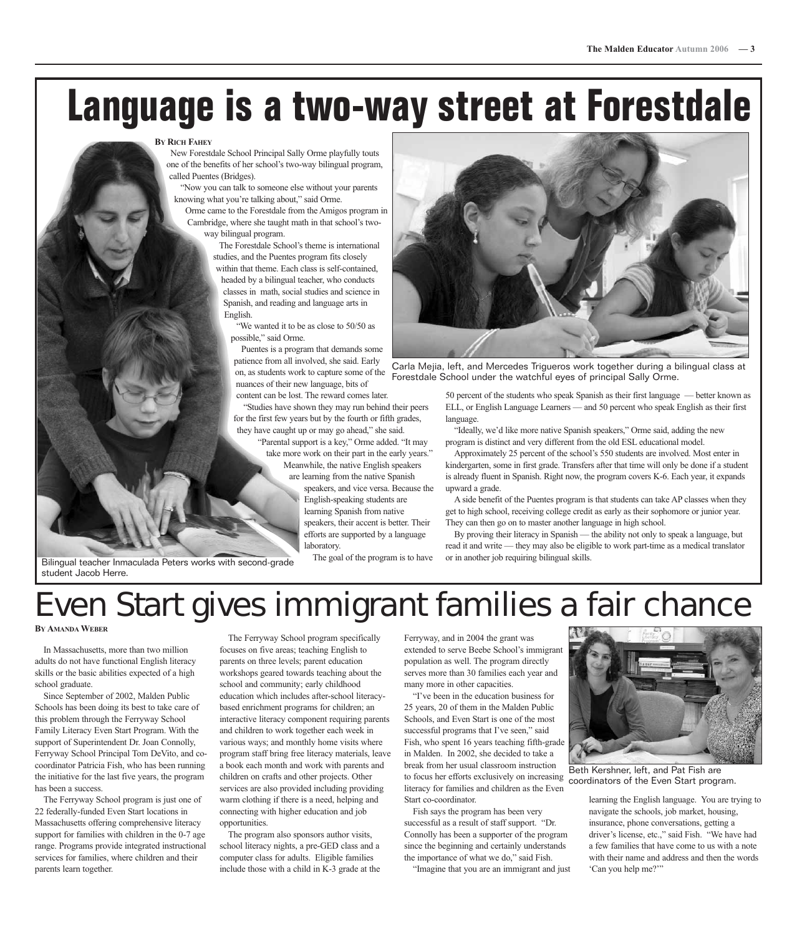# **Language is a two-way street at Forestdale**

#### **BY RICH FAHEY**

New Forestdale School Principal Sally Orme playfully touts one of the benefits of her school's two-way bilingual program, called Puentes (Bridges).

"Now you can talk to someone else without your parents knowing what you're talking about," said Orme.

Orme came to the Forestdale from the Amigos program in Cambridge, where she taught math in that school's twoway bilingual program.

> The Forestdale School's theme is international studies, and the Puentes program fits closely within that theme. Each class is self-contained, headed by a bilingual teacher, who conducts classes in math, social studies and science in Spanish, and reading and language arts in English.

"We wanted it to be as close to 50/50 as possible," said Orme.

Puentes is a program that demands some patience from all involved, she said. Early on, as students work to capture some of the nuances of their new language, bits of content can be lost. The reward comes later.

"Studies have shown they may run behind their peers for the first few years but by the fourth or fifth grades,

they have caught up or may go ahead," she said. "Parental support is a key," Orme added. "It may

take more work on their part in the early years." Meanwhile, the native English speakers are learning from the native Spanish

speakers, and vice versa. Because the English-speaking students are learning Spanish from native speakers, their accent is better. Their efforts are supported by a language laboratory. The goal of the program is to have



Carla Mejia, left, and Mercedes Trigueros work together during a bilingual class at Forestdale School under the watchful eyes of principal Sally Orme.

50 percent of the students who speak Spanish as their first language — better known as ELL, or English Language Learners — and 50 percent who speak English as their first language.

"Ideally, we'd like more native Spanish speakers," Orme said, adding the new program is distinct and very different from the old ESL educational model.

Approximately 25 percent of the school's 550 students are involved. Most enter in kindergarten, some in first grade. Transfers after that time will only be done if a student is already fluent in Spanish. Right now, the program covers K-6. Each year, it expands upward a grade.

A side benefit of the Puentes program is that students can take AP classes when they get to high school, receiving college credit as early as their sophomore or junior year. They can then go on to master another language in high school.

By proving their literacy in Spanish — the ability not only to speak a language, but read it and write — they may also be eligible to work part-time as a medical translator or in another job requiring bilingual skills.

Bilingual teacher Inmaculada Peters works with second-grade student Jacob Herre.

## Even Start gives immigrant families a fair chance

**BY AMANDA WEBER**

In Massachusetts, more than two million adults do not have functional English literacy skills or the basic abilities expected of a high school graduate.

Since September of 2002, Malden Public Schools has been doing its best to take care of this problem through the Ferryway School Family Literacy Even Start Program. With the support of Superintendent Dr. Joan Connolly, Ferryway School Principal Tom DeVito, and cocoordinator Patricia Fish, who has been running the initiative for the last five years, the program has been a success.

The Ferryway School program is just one of 22 federally-funded Even Start locations in Massachusetts offering comprehensive literacy support for families with children in the 0-7 age range. Programs provide integrated instructional services for families, where children and their parents learn together.

The Ferryway School program specifically focuses on five areas; teaching English to parents on three levels; parent education workshops geared towards teaching about the school and community; early childhood education which includes after-school literacybased enrichment programs for children; an interactive literacy component requiring parents and children to work together each week in various ways; and monthly home visits where program staff bring free literacy materials, leave a book each month and work with parents and children on crafts and other projects. Other services are also provided including providing warm clothing if there is a need, helping and connecting with higher education and job opportunities.

The program also sponsors author visits, school literacy nights, a pre-GED class and a computer class for adults. Eligible families include those with a child in K-3 grade at the Ferryway, and in 2004 the grant was extended to serve Beebe School's immigrant population as well. The program directly serves more than 30 families each year and many more in other capacities.

"I've been in the education business for 25 years, 20 of them in the Malden Public Schools, and Even Start is one of the most successful programs that I've seen," said Fish, who spent 16 years teaching fifth-grade in Malden. In 2002, she decided to take a break from her usual classroom instruction to focus her efforts exclusively on increasing literacy for families and children as the Even Start co-coordinator.

Fish says the program has been very successful as a result of staff support. "Dr. Connolly has been a supporter of the program since the beginning and certainly understands the importance of what we do," said Fish.

"Imagine that you are an immigrant and just



Beth Kershner, left, and Pat Fish are coordinators of the Even Start program.

learning the English language. You are trying to navigate the schools, job market, housing, insurance, phone conversations, getting a driver's license, etc.," said Fish. "We have had a few families that have come to us with a note with their name and address and then the words 'Can you help me?'"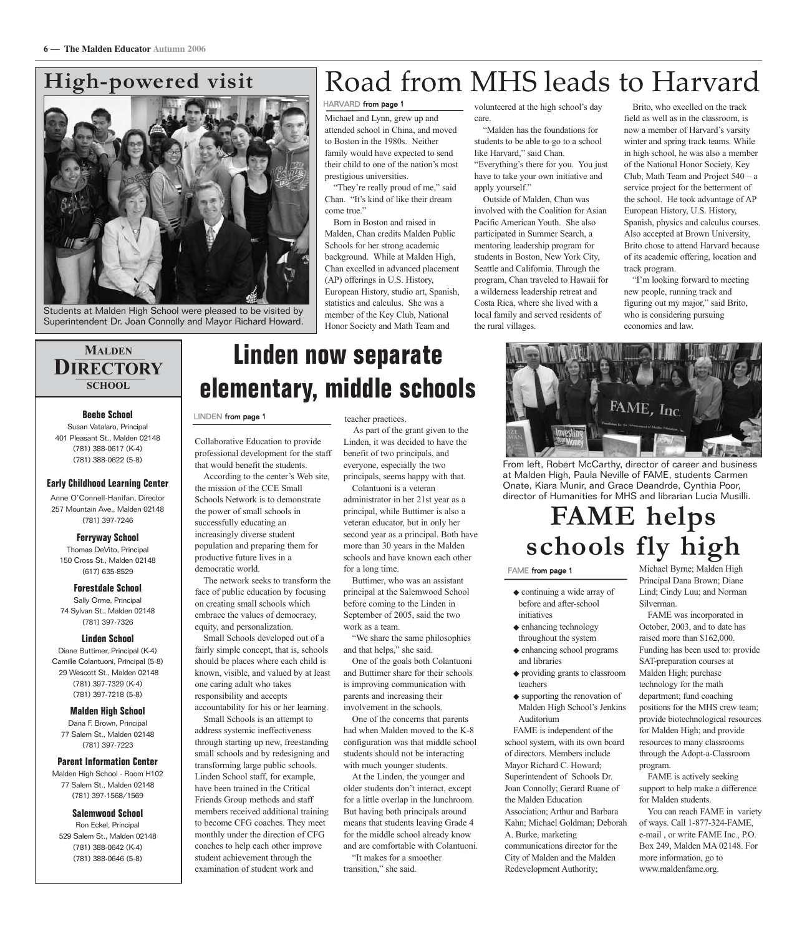### **High-powered visit**



Students at Malden High School were pleased to be visited by Superintendent Dr. Joan Connolly and Mayor Richard Howard.

## Road from MHS leads to Harvard

#### HARVARD from page 1

Michael and Lynn, grew up and attended school in China, and moved to Boston in the 1980s. Neither family would have expected to send their child to one of the nation's most prestigious universities.

"They're really proud of me," said Chan. "It's kind of like their dream come true."

Born in Boston and raised in Malden, Chan credits Malden Public Schools for her strong academic background. While at Malden High, Chan excelled in advanced placement (AP) offerings in U.S. History, European History, studio art, Spanish, statistics and calculus. She was a member of the Key Club, National Honor Society and Math Team and

volunteered at the high school's day care.

"Malden has the foundations for students to be able to go to a school like Harvard," said Chan. "Everything's there for you. You just have to take your own initiative and apply yourself."

Outside of Malden, Chan was involved with the Coalition for Asian Pacific American Youth. She also participated in Summer Search, a mentoring leadership program for students in Boston, New York City, Seattle and California. Through the program, Chan traveled to Hawaii for a wilderness leadership retreat and Costa Rica, where she lived with a local family and served residents of the rural villages.

Brito, who excelled on the track field as well as in the classroom, is now a member of Harvard's varsity winter and spring track teams. While in high school, he was also a member of the National Honor Society, Key Club, Math Team and Project 540 – a service project for the betterment of the school. He took advantage of AP European History, U.S. History, Spanish, physics and calculus courses. Also accepted at Brown University, Brito chose to attend Harvard because of its academic offering, location and track program.

"I'm looking forward to meeting new people, running track and figuring out my major," said Brito, who is considering pursuing economics and law.

#### **MALDEN DIRECTORY SCHOOL**

#### **Beebe School**

Susan Vatalaro, Principal 401 Pleasant St., Malden 02148 (781) 388-0617 (K-4) (781) 388-0622 (5-8)

#### **Early Childhood Learning Center**

Anne O'Connell-Hanifan, Director 257 Mountain Ave., Malden 02148 (781) 397-7246

#### **Ferryway School**

Thomas DeVito, Principal 150 Cross St., Malden 02148 (617) 635-8529

#### **Forestdale School**

Sally Orme, Principal 74 Sylvan St., Malden 02148 (781) 397-7326

#### **Linden School**

Diane Buttimer, Principal (K-4) Camille Colantuoni, Principal (5-8) 29 Wescott St., Malden 02148 (781) 397-7329 (K-4) (781) 397-7218 (5-8)

#### **Malden High School**

Dana F. Brown, Principal 77 Salem St., Malden 02148 (781) 397-7223

#### **Parent Information Center**

Malden High School - Room H102 77 Salem St., Malden 02148 (781) 397-1568/1569

#### **Salemwood School**

Ron Eckel, Principal 529 Salem St., Malden 02148 (781) 388-0642 (K-4) (781) 388-0646 (5-8)

## **Linden now separate elementary, middle schools**

#### LINDEN from page 1

Collaborative Education to provide professional development for the staff that would benefit the students.

According to the center's Web site, the mission of the CCE Small Schools Network is to demonstrate the power of small schools in successfully educating an increasingly diverse student population and preparing them for productive future lives in a democratic world.

The network seeks to transform the face of public education by focusing on creating small schools which embrace the values of democracy, equity, and personalization.

Small Schools developed out of a fairly simple concept, that is, schools should be places where each child is known, visible, and valued by at least one caring adult who takes responsibility and accepts

accountability for his or her learning. Small Schools is an attempt to address systemic ineffectiveness through starting up new, freestanding small schools and by redesigning and transforming large public schools. Linden School staff, for example, have been trained in the Critical Friends Group methods and staff members received additional training to become CFG coaches. They meet monthly under the direction of CFG coaches to help each other improve student achievement through the examination of student work and

teacher practices.

As part of the grant given to the Linden, it was decided to have the benefit of two principals, and everyone, especially the two principals, seems happy with that.

Colantuoni is a veteran administrator in her 21st year as a principal, while Buttimer is also a veteran educator, but in only her second year as a principal. Both have more than 30 years in the Malden schools and have known each other for a long time.

Buttimer, who was an assistant principal at the Salemwood School before coming to the Linden in September of 2005, said the two work as a team.

"We share the same philosophies and that helps," she said.

One of the goals both Colantuoni and Buttimer share for their schools is improving communication with parents and increasing their involvement in the schools.

One of the concerns that parents had when Malden moved to the K-8 configuration was that middle school students should not be interacting with much younger students.

At the Linden, the younger and older students don't interact, except for a little overlap in the lunchroom. But having both principals around means that students leaving Grade 4 for the middle school already know and are comfortable with Colantuoni. "It makes for a smoother

transition," she said.



From left, Robert McCarthy, director of career and business at Malden High, Paula Neville of FAME, students Carmen Onate, Kiara Munir, and Grace Deandrde, Cynthia Poor, director of Humanities for MHS and librarian Lucia Musilli.

## **FAME helps schools fly high**

#### FAME from page 1

- ◆ continuing a wide array of before and after-school initiatives
- ◆ enhancing technology throughout the system
- ◆ enhancing school programs and libraries
- ◆ providing grants to classroom teachers
- ◆ supporting the renovation of Malden High School's Jenkins Auditorium

FAME is independent of the school system, with its own board of directors. Members include Mayor Richard C. Howard; Superintendent of Schools Dr. Joan Connolly; Gerard Ruane of the Malden Education Association; Arthur and Barbara Kahn; Michael Goldman; Deborah A. Burke, marketing communications director for the City of Malden and the Malden Redevelopment Authority;

Michael Byrne; Malden High Principal Dana Brown; Diane Lind; Cindy Luu; and Norman Silverman.

FAME was incorporated in October, 2003, and to date has raised more than \$162,000. Funding has been used to: provide SAT-preparation courses at Malden High; purchase technology for the math department; fund coaching positions for the MHS crew team; provide biotechnological resources for Malden High; and provide resources to many classrooms through the Adopt-a-Classroom program.

FAME is actively seeking support to help make a difference for Malden students.

You can reach FAME in variety of ways. Call 1-877-324-FAME, e-mail , or write FAME Inc., P.O. Box 249, Malden MA 02148. For more information, go to www.maldenfame.org.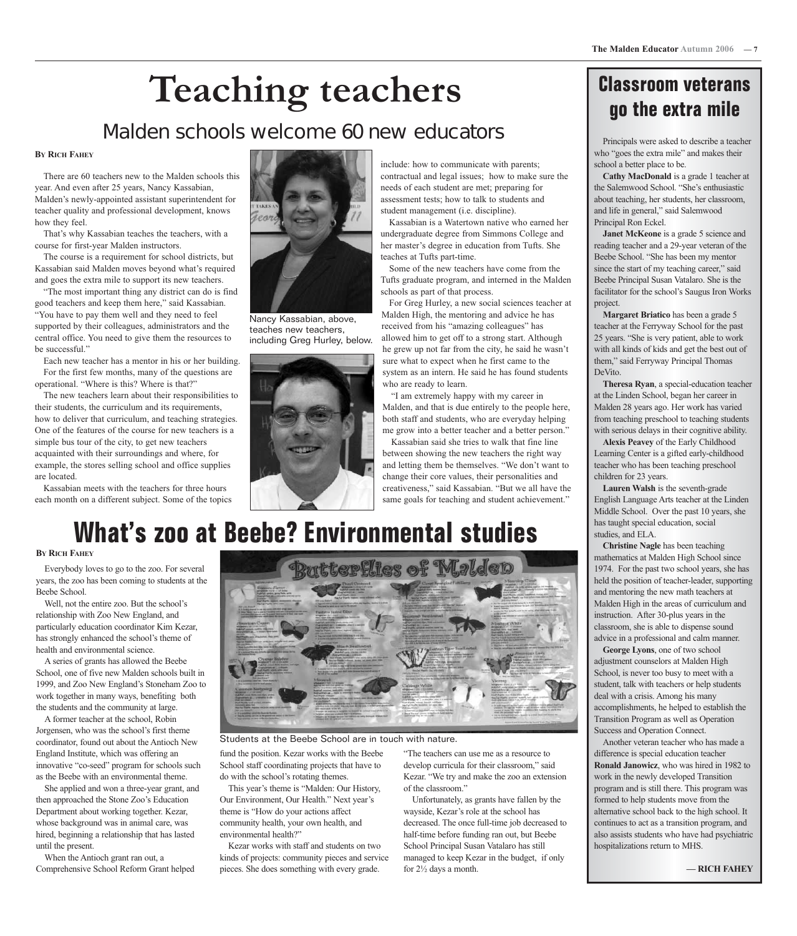# **Teaching teachers**

### Malden schools welcome 60 new educators

#### **BY RICH FAHEY**

There are 60 teachers new to the Malden schools this year. And even after 25 years, Nancy Kassabian, Malden's newly-appointed assistant superintendent for teacher quality and professional development, knows how they feel.

That's why Kassabian teaches the teachers, with a course for first-year Malden instructors.

The course is a requirement for school districts, but Kassabian said Malden moves beyond what's required and goes the extra mile to support its new teachers.

"The most important thing any district can do is find good teachers and keep them here," said Kassabian. "You have to pay them well and they need to feel supported by their colleagues, administrators and the central office. You need to give them the resources to be successful."

Each new teacher has a mentor in his or her building. For the first few months, many of the questions are operational. "Where is this? Where is that?"

The new teachers learn about their responsibilities to their students, the curriculum and its requirements, how to deliver that curriculum, and teaching strategies. One of the features of the course for new teachers is a simple bus tour of the city, to get new teachers acquainted with their surroundings and where, for example, the stores selling school and office supplies are located.

Kassabian meets with the teachers for three hours each month on a different subject. Some of the topics



Nancy Kassabian, above, teaches new teachers, including Greg Hurley, below.



include: how to communicate with parents; contractual and legal issues; how to make sure the needs of each student are met; preparing for assessment tests; how to talk to students and student management (i.e. discipline).

Kassabian is a Watertown native who earned her undergraduate degree from Simmons College and her master's degree in education from Tufts. She teaches at Tufts part-time.

Some of the new teachers have come from the Tufts graduate program, and interned in the Malden schools as part of that process.

For Greg Hurley, a new social sciences teacher at Malden High, the mentoring and advice he has received from his "amazing colleagues" has allowed him to get off to a strong start. Although he grew up not far from the city, he said he wasn't sure what to expect when he first came to the system as an intern. He said he has found students

"I am extremely happy with my career in Malden, and that is due entirely to the people here, both staff and students, who are everyday helping me grow into a better teacher and a better person."

Kassabian said she tries to walk that fine line and letting them be themselves. "We don't want to creativeness," said Kassabian. "But we all have the

## **Classroom veterans go the extra mile**

Principals were asked to describe a teacher who "goes the extra mile" and makes their school a better place to be.

**Cathy MacDonald** is a grade 1 teacher at the Salemwood School. "She's enthusiastic about teaching, her students, her classroom, and life in general," said Salemwood Principal Ron Eckel.

**Janet McKeone** is a grade 5 science and reading teacher and a 29-year veteran of the Beebe School. "She has been my mentor since the start of my teaching career," said Beebe Principal Susan Vatalaro. She is the facilitator for the school's Saugus Iron Works project.

**Margaret Briatico** has been a grade 5 teacher at the Ferryway School for the past 25 years. "She is very patient, able to work with all kinds of kids and get the best out of them," said Ferryway Principal Thomas DeVito.

**Theresa Ryan**, a special-education teacher at the Linden School, began her career in Malden 28 years ago. Her work has varied from teaching preschool to teaching students with serious delays in their cognitive ability.

**Alexis Peavey** of the Early Childhood Learning Center is a gifted early-childhood teacher who has been teaching preschool children for 23 years.

**Lauren Walsh** is the seventh-grade English Language Arts teacher at the Linden Middle School. Over the past 10 years, she has taught special education, social studies, and ELA.

**Christine Nagle** has been teaching mathematics at Malden High School since 1974. For the past two school years, she has held the position of teacher-leader, supporting and mentoring the new math teachers at Malden High in the areas of curriculum and instruction. After 30-plus years in the classroom, she is able to dispense sound advice in a professional and calm manner.

**George Lyons**, one of two school adjustment counselors at Malden High School, is never too busy to meet with a student, talk with teachers or help students deal with a crisis. Among his many accomplishments, he helped to establish the Transition Program as well as Operation Success and Operation Connect.

Another veteran teacher who has made a difference is special education teacher **Ronald Janowicz**, who was hired in 1982 to work in the newly developed Transition program and is still there. This program was formed to help students move from the alternative school back to the high school. It continues to act as a transition program, and also assists students who have had psychiatric hospitalizations return to MHS.

## **What's zoo at Beebe? Environmental studies**

#### **BY RICH FAHEY**

Everybody loves to go to the zoo. For several years, the zoo has been coming to students at the Beebe School.

Well, not the entire zoo. But the school's relationship with Zoo New England, and particularly education coordinator Kim Kezar, has strongly enhanced the school's theme of health and environmental science.

A series of grants has allowed the Beebe School, one of five new Malden schools built in 1999, and Zoo New England's Stoneham Zoo to work together in many ways, benefiting both the students and the community at large.

A former teacher at the school, Robin Jorgensen, who was the school's first theme coordinator, found out about the Antioch New England Institute, which was offering an innovative "co-seed" program for schools such as the Beebe with an environmental theme.

She applied and won a three-year grant, and then approached the Stone Zoo's Education Department about working together. Kezar, whose background was in animal care, was hired, beginning a relationship that has lasted until the present.

When the Antioch grant ran out, a Comprehensive School Reform Grant helped



Students at the Beebe School are in touch with nature.

fund the position. Kezar works with the Beebe School staff coordinating projects that have to do with the school's rotating themes.

This year's theme is "Malden: Our History, Our Environment, Our Health." Next year's theme is "How do your actions affect community health, your own health, and environmental health?"

Kezar works with staff and students on two kinds of projects: community pieces and service pieces. She does something with every grade.

"The teachers can use me as a resource to

develop curricula for their classroom," said Kezar. "We try and make the zoo an extension of the classroom."

Unfortunately, as grants have fallen by the wayside, Kezar's role at the school has decreased. The once full-time job decreased to half-time before funding ran out, but Beebe School Principal Susan Vatalaro has still managed to keep Kezar in the budget, if only for 2½ days a month.

who are ready to learn.

between showing the new teachers the right way change their core values, their personalities and same goals for teaching and student achievement."